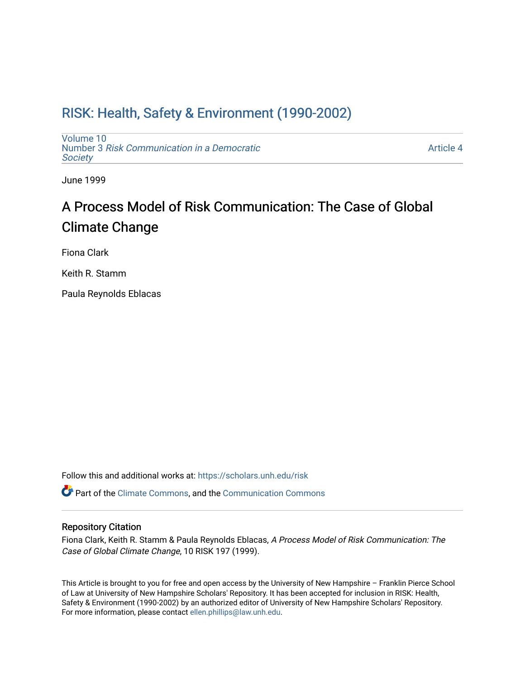# [RISK: Health, Safety & Environment \(1990-2002\)](https://scholars.unh.edu/risk)

[Volume 10](https://scholars.unh.edu/risk/vol10) Number 3 [Risk Communication in a Democratic](https://scholars.unh.edu/risk/vol10/iss3) **Society** 

[Article 4](https://scholars.unh.edu/risk/vol10/iss3/4) 

June 1999

# A Process Model of Risk Communication: The Case of Global Climate Change

Fiona Clark

Keith R. Stamm

Paula Reynolds Eblacas

Follow this and additional works at: [https://scholars.unh.edu/risk](https://scholars.unh.edu/risk?utm_source=scholars.unh.edu%2Frisk%2Fvol10%2Fiss3%2F4&utm_medium=PDF&utm_campaign=PDFCoverPages) 

Part of the [Climate Commons,](http://network.bepress.com/hgg/discipline/188?utm_source=scholars.unh.edu%2Frisk%2Fvol10%2Fiss3%2F4&utm_medium=PDF&utm_campaign=PDFCoverPages) and the [Communication Commons](http://network.bepress.com/hgg/discipline/325?utm_source=scholars.unh.edu%2Frisk%2Fvol10%2Fiss3%2F4&utm_medium=PDF&utm_campaign=PDFCoverPages)

#### Repository Citation

Fiona Clark, Keith R. Stamm & Paula Reynolds Eblacas, A Process Model of Risk Communication: The Case of Global Climate Change, 10 RISK 197 (1999).

This Article is brought to you for free and open access by the University of New Hampshire – Franklin Pierce School of Law at University of New Hampshire Scholars' Repository. It has been accepted for inclusion in RISK: Health, Safety & Environment (1990-2002) by an authorized editor of University of New Hampshire Scholars' Repository. For more information, please contact [ellen.phillips@law.unh.edu](mailto:ellen.phillips@law.unh.edu).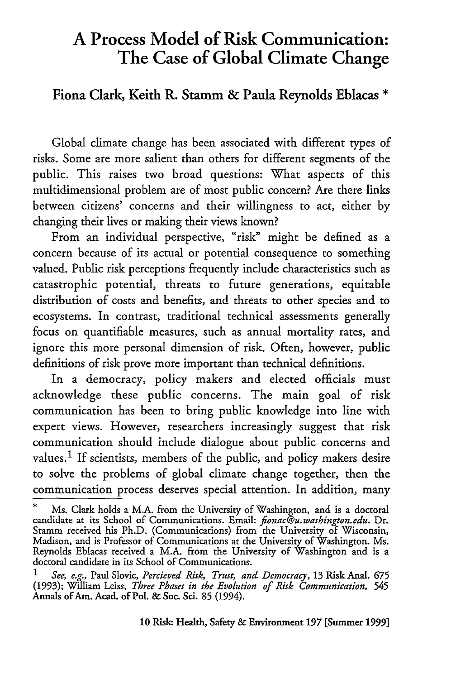## **A Process Model of Risk Communication: The Case of Global Climate Change**

Fiona Clark, Keith R. Stamm **&** Paula Reynolds Eblacas **\***

Global climate change has been associated with different types of risks. Some are more salient than others for different segments of the public. This raises two broad questions: What aspects of this multidimensional problem are of most public concern? Are there links between citizens' concerns and their willingness to act, either by changing their lives or making their views known?

From an individual perspective, "risk" might be defined as a concern because of its actual or potential consequence to something valued. Public risk perceptions frequently include characteristics such as catastrophic potential, threats to future generations, equitable distribution of costs and benefits, and threats to other species and to ecosystems. In contrast, traditional technical assessments generally focus on quantifiable measures, such as annual mortality rates, and ignore this more personal dimension of risk. Often, however, public definitions of risk prove more important than technical definitions.

In a democracy, policy makers and elected officials must acknowledge these public concerns. The main goal of risk communication has been to bring public knowledge into line with expert views. However, researchers increasingly suggest that risk communication should include dialogue about public concerns and values.<sup>1</sup> If scientists, members of the public, and policy makers desire to solve the problems of global climate change together, then the communication process deserves special attention. In addition, many

**<sup>\*</sup>** Ms. Clark holds a M.A. from the University of Washington, and is a doctoral candidate at its School of Communications. Email: *fionac@u.washington.edu.* Dr. Stamm received his Ph.D. (Communications) from the University of Wisconsin, Madison, and is Professor of Communications at the University of Washington. Ms. Reynolds Eblacas received a M.A. from the University of Washington and is a doctoral candidate in its School of Communications.

*<sup>1</sup> See, e.g.,* Paul Slovic, *Percieved Risk, Trust, and Democracy,* 13 Risk Anal. **675** (1993); William Leiss, *Three Phases in the Evolution of Risk Communication, 545* Annals of Am. Acad. of Pol. & Soc. Sci. **85** (1994).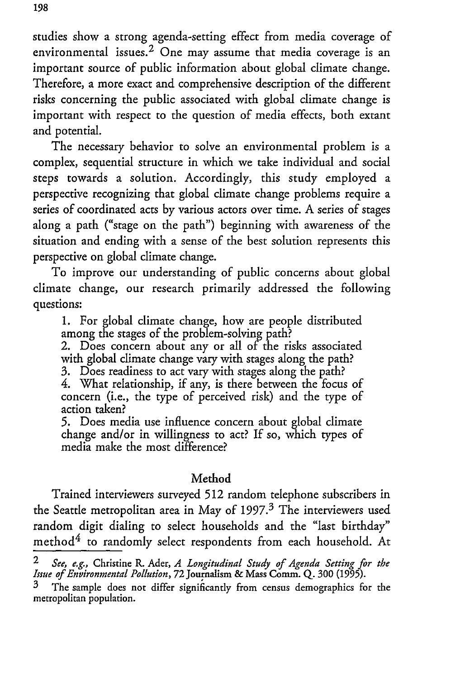studies show a strong agenda-setting effect from media coverage of environmental issues.<sup>2</sup> One may assume that media coverage is an important source of public information about global climate change. Therefore, a more exact and comprehensive description of the different risks concerning the public associated with global climate change is important with respect to the question of media effects, both extant and potential.

The necessary behavior to solve an environmental problem is a complex, sequential structure in which we take individual and social steps towards a solution. Accordingly, this study employed a perspective recognizing that global climate change problems require a series of coordinated acts by various actors over time. A series of stages along a path ("stage on the path") beginning with awareness of the situation and ending with a sense of the best solution represents this perspective on global climate change.

To improve our understanding of public concerns about global climate change, our research primarily addressed the following questions:

1. For global climate change, how are people distributed among the stages of the problem-solving path?

2. Does concern about any or all of the risks associated with global climate change vary with stages along the path?

3. Does readiness to act vary with stages along the path?

4. What relationship, if any, is there between the focus of concern (i.e., the type of perceived risk) and the type of action taken?

5. Does media use influence concern about global climate change and/or in willingness to act? If so, which types of media make the most difference?

### Method

Trained interviewers surveyed **512** random telephone subscribers in the Seattle metropolitan area in May of  $1997<sup>3</sup>$  The interviewers used random digit dialing to select households and the "last birthday" method $4$  to randomly select respondents from each household. At

*<sup>2</sup> See, e.g.,* Christine R. Ader, *A Longitudinal Study of Agenda Setting for the Issue of Environmental Pollution,* 72 Journalism & Mass Comm. Q. 300 (1995).

The sample does not differ significantly from census demographics for the metropolitan population.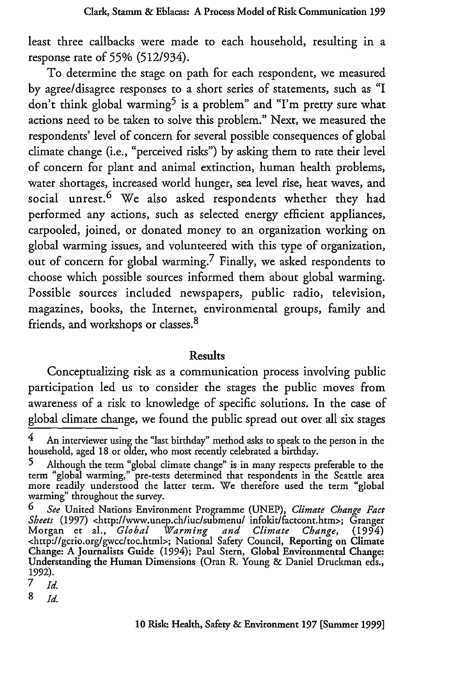least three callbacks were made to each household, resulting in a response rate of **55%** (512/934).

To determine the stage on path for each respondent, we measured by agree/disagree responses to a short series of statements, such as "I don't think global warming<sup>5</sup> is a problem" and "I'm pretty sure what actions need to be taken to solve this problem." Next, we measured the respondents' level of concern for several possible consequences of global climate change (i.e., "perceived risks") by asking them to rate their level of concern for plant and animal extinction, human health problems, water shortages, increased world hunger, sea level rise, heat waves, and social unrest.<sup>6</sup> We also asked respondents whether they had performed any actions, such as selected energy efficient appliances, carpooled, joined, or donated money to an organization working on global warming issues, and volunteered with this type of organization, out of concern for global warming.7 Finally, we asked respondents to choose which possible sources informed them about global warming. Possible sources included newspapers, public radio, television, magazines, books, the Internet, environmental groups, family and friends, and workshops or classes. <sup>8</sup>

#### **Results**

Conceptualizing risk as a communication process involving public participation led us to consider the stages the public moves from awareness of a risk to knowledge of specific solutions. In the case of global climate change, we found the public spread out over all six stages

*7 Id.*

**8** *Id.*

**<sup>4</sup>** An interviewer using the "last birthday" method asks to speak to the person in the household, aged 18 or older, who most recently celebrated a birthday.

**<sup>5</sup>** Although the term "global climate change" is in many respects preferable to the term "global warming," pre-tests determined that respondents in the Seattle area more readily understood the latter term. We therefore used the term "global warming" throughout the survey.

*<sup>6</sup> See* United Nations Environment Programme (UNEP), *Climate Change Fact Sheets* (1997) <http://www.unep.ch/iuc/submenu/ infokit/factcont.htm>; Granger Morgan et al., *Global Warming and Climate Change,* (1994) Morgan et al., Global Warming and Climate Change, (1994)<br><http://gcrio.org/gwcc/toc.html>; National Safety Council, Reporting on Climate Change: A Journalists Guide (1994); Paul Stern, Global Environmental Change: Understanding the Human Dimensions (Oran R. Young & Daniel Druckman eds., 1992).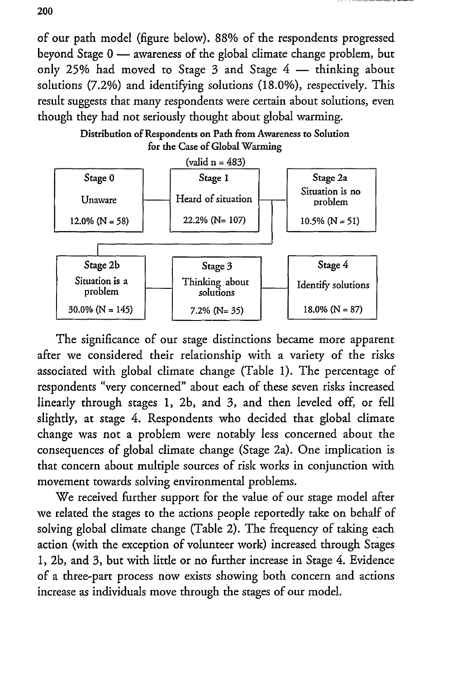of our path model (figure below). 88% of the respondents progressed beyond Stage 0 **-** awareness of the global climate change problem, but only 25% had moved to Stage  $3$  and Stage  $4$  - thinking about solutions (7.2%) and identifying solutions (18.0%), respectively. This result suggests that many respondents were certain about solutions, even though they had not seriously thought about global warming.

Distribution of Respondents on Path from Awareness to Solution for the Case of Global Warming



The significance of our stage distinctions became more apparent after we considered their relationship with a variety of the risks associated with global climate change (Table 1). The percentage of respondents "very concerned" about each of these seven risks increased linearly through stages 1, 2b, and 3, and then leveled off, or fell slightly, at stage 4. Respondents who decided that global climate change was not a problem were notably less concerned about the consequences of global climate change (Stage 2a). One implication is that concern about multiple sources of risk works in conjunction with movement towards solving environmental problems.

We received further support for the value of our stage model after we related the stages to the actions people reportedly take on behalf of solving global climate change (Table 2). The frequency of taking each action (with the exception of volunteer work) increased through Stages **1, 2b,** and 3, but with little or no further increase in Stage 4. Evidence of a three-part process now exists showing both concern and actions increase as individuals move through the stages of our model.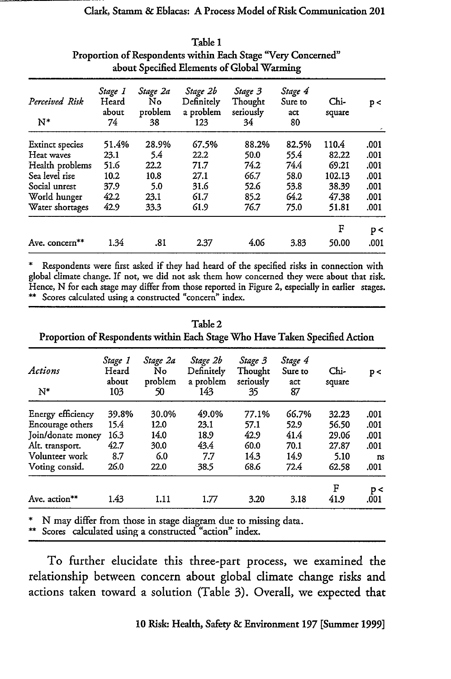## Clark, **Stamm &** Eblacas: **A** Process Model of Risk Communication 201

| about Specified Elements of Global Warming |                                 |                                 |                                            |                                       |                                 |                  |      |  |
|--------------------------------------------|---------------------------------|---------------------------------|--------------------------------------------|---------------------------------------|---------------------------------|------------------|------|--|
| Perceived Risk<br>$N^*$                    | Stage 1<br>Heard<br>about<br>74 | Stage 2a<br>No<br>problem<br>38 | Stage 2b<br>Definitely<br>a problem<br>123 | Stage 3<br>Thought<br>seriously<br>34 | Stage 4<br>Sure to<br>act<br>80 | $Chi-$<br>square | p<   |  |
|                                            |                                 |                                 |                                            |                                       |                                 |                  |      |  |
| <b>Extinct species</b>                     | 51.4%                           | 28.9%                           | 67.5%                                      | 88.2%                                 | 82.5%                           | 110.4            | .001 |  |
| Heat waves                                 | 23.1                            | 5.4                             | 22.2                                       | 50.0                                  | 55.4                            | 82.22            | .001 |  |
| Health problems                            | 51.6                            | 22.2                            | 71.7                                       | 74.2                                  | 74.4                            | 69.21            | .001 |  |
| Sea level rise                             | 10.2                            | 10.8                            | 27.1                                       | 66.7                                  | 58.0                            | 102.13           | .001 |  |
| Social unrest                              | 37.9                            | 5.0                             | 31.6                                       | 52.6                                  | 53.8                            | 38.39            | .001 |  |
| World hunger                               | 42.2                            | 23.1                            | 61.7                                       | 85.2                                  | 64.2                            | 47.38            | .001 |  |
| Water shortages                            | 42.9                            | 33.3                            | 61.9                                       | 76.7                                  | 75.0                            | 51.81            | .001 |  |
|                                            |                                 |                                 |                                            |                                       |                                 | F                | p<   |  |
| Ave. concern**                             | 1.34                            | .81                             | 2.37                                       | 4.06                                  | 3.83                            | 50.00            | .001 |  |

Table 1 Proportion of Respondents within Each Stage "Very Concerned" about Specified Elements of Global Warming

Respondents were first asked if they had heard of the specified risks in connection with global climate change. If not, we did not ask them how concerned they were about that risk. Hence, N for each stage may differ from those reported in Figure 2, especially in earlier stages. \*\* Scores calculated using a constructed "concern" index.

Table 2

| Actions<br>$N^*$  | Stage 1<br>Heard<br>about<br>103 | Stage 2a<br>No<br>problem<br>50 | Stage 2b<br>Definitely<br>a problem<br>143 | Stage 3<br>Thought<br>seriously<br>35 | Stage 4<br>Sure to<br>act<br>87 | Chi-<br>square | p<         |
|-------------------|----------------------------------|---------------------------------|--------------------------------------------|---------------------------------------|---------------------------------|----------------|------------|
| Energy efficiency | 39.8%                            | 30.0%                           | 49.0%                                      | 77.1%                                 | 66.7%                           | 32.23          | .001       |
| Encourage others  | 15.4                             | 12.0                            | 23.1                                       | 57.1                                  | 52.9                            | 56.50          | .001       |
| Join/donate money | 16.3                             | 14.0                            | 18.9                                       | 42.9                                  | 41.4                            | 29.06          | .001       |
| Alt. transport.   | 42.7                             | 30.0                            | 43.4                                       | 60.0                                  | 70.1                            | 27.87          | .001       |
| Volunteer work    | 8.7                              | 6.0                             | 7.7                                        | 14.3                                  | 14.9                            | 5.10           | <b>ns</b>  |
| Voting consid.    | 26.0                             | 22.0                            | 38.5                                       | 68.6                                  | 72.4                            | 62.58          | .001       |
| Ave. action**     | 1.43                             | 1.11                            | 1.77                                       | 3.20                                  | 3.18                            | F<br>41.9      | p<<br>.001 |

Proportion of Respondents within Each Stage Who Have Taken Specified Action

N may differ from those in stage diagram due to missing data.

\* Scores calculated using a constructed "action" index.

To further elucidate this three-part process, we examined the relationship between concern about global climate change risks and actions taken toward a solution (Table 3). Overall, we expected that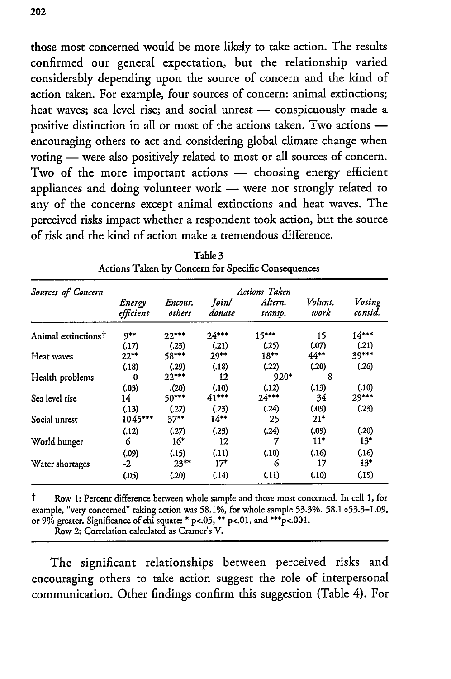those most concerned would be more likely to take action. The results confirmed our general expectation, but the relationship varied considerably depending upon the source of concern and the kind of action taken. For example, four sources of concern: animal extinctions; heat waves; sea level rise; and social unrest - conspicuously made a positive distinction in all or most of the actions taken. Two actions  encouraging others to act and considering global climate change when voting - were also positively related to most or all sources of concern. Two of the more important actions - choosing energy efficient appliances and doing volunteer work - were not strongly related to any of the concerns except animal extinctions and heat waves. The perceived risks impact whether a respondent took action, but the source of risk and the kind of action make a tremendous difference.

| Sources of Concern              | <b>Actions Taken</b> |                   |                  |                    |                 |                   |  |  |  |  |
|---------------------------------|----------------------|-------------------|------------------|--------------------|-----------------|-------------------|--|--|--|--|
|                                 | Energy<br>efficient  | Encour.<br>others | Ioin/<br>donate  | Altern.<br>transp. | Volunt.<br>work | Voting<br>consid. |  |  |  |  |
| Animal extinctions <sup>†</sup> | 9**                  | $22***$           | $24***$          | $15***$            | 15              | $14***$           |  |  |  |  |
| Heat waves                      | (.17)<br>$22***$     | (.23)<br>58***    | (.21)<br>$29**$  | (.25)<br>$18**$    | (.07)<br>44**   | (.21)<br>39***    |  |  |  |  |
|                                 | (.18)                | (.29)             | (.18)            | (.22)              | (.20)           | (.26)             |  |  |  |  |
| Health problems                 | 0                    | $22***$           | 12               | 920*               | 8               |                   |  |  |  |  |
|                                 | (.03)                | (20)              | (.10)            | (.12)              | (.13)           | (.10)             |  |  |  |  |
| Sea level rise                  | 14                   | 50***             | $41***$          | $24***$            | 34              | 29***             |  |  |  |  |
| Social unrest                   | (.13)<br>1045***     | (.27)<br>$37**$   | (.23)<br>$14***$ | (.24)<br>25        | (.09)<br>21*    | (.23)             |  |  |  |  |
|                                 | (.12)                | (.27)             | (.23)            | (.24)              | (.09)           | (.20)             |  |  |  |  |
| World hunger                    | 6                    | $16*$             | 12               | 7                  | $11*$           | $13*$             |  |  |  |  |
|                                 | (.09)                | (.15)             | (.11)            | (.10)              | (.16)           | (.16)             |  |  |  |  |
| Water shortages                 | -2                   | $23**$            | $17*$            | 6                  | 17              | $13*$             |  |  |  |  |
|                                 | (.05)                | (.20)             | (.14)            | (.11)              | (.10)           | (.19)             |  |  |  |  |

| Table 3                                                   |  |
|-----------------------------------------------------------|--|
| <b>Actions Taken by Concern for Specific Consequences</b> |  |

t Row **1:** Percent difference between whole sample and those most concerned. In cell **1,** for example, "very concerned" taking action was 58.1%, for whole sample 53.3%. 58.1÷53.3=1.09, or 9% greater. Significance of chi square: **\* p<.05, \*\* p<.01,** and **\*\*\*p<.001.** Row 2: Correlation calculated as Cramer's V.

The significant relationships between perceived risks and encouraging others to take action suggest the role of interpersonal communication. Other findings confirm this suggestion (Table 4). For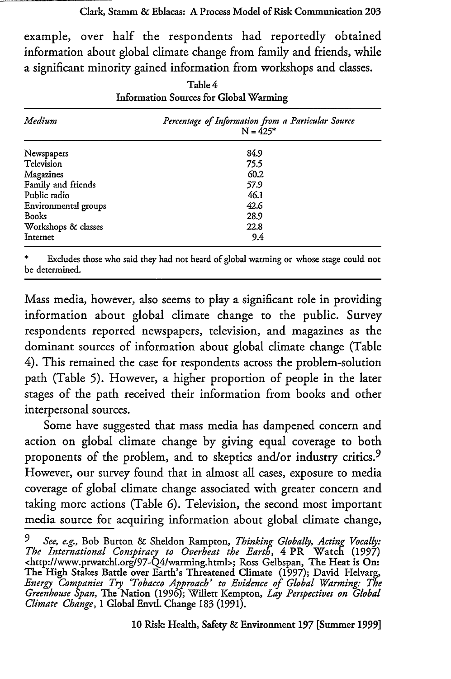example, over half the respondents had reportedly obtained information about global climate change from family and friends, while a significant minority gained information from workshops and classes.

| Medium               | Percentage of Information from a Particular Source<br>$N = 425*$ |
|----------------------|------------------------------------------------------------------|
| Newspapers           | 84.9                                                             |
| Television           | 75.5                                                             |
| Magazines            | 60.2                                                             |
| Family and friends   | 57.9                                                             |
| Public radio         | 46.1                                                             |
| Environmental groups | 42.6                                                             |
| <b>Books</b>         | 28.9                                                             |
| Workshops & classes  | 22.8                                                             |
| Internet             | 9.4                                                              |

Table 4 Information Sources for Global Warming

Excludes those who said they had not heard of global warming or whose stage could not be determined.

Mass media, however, also seems to play a significant role in providing information about global climate change to the public. Survey respondents reported newspapers, television, and magazines as the dominant sources of information about global climate change (Table 4). This remained the case for respondents across the problem-solution path (Table **5).** However, a higher proportion of people in the later stages of the path received their information from books and other interpersonal sources.

Some have suggested that mass media has dampened concern and action on global climate change by giving equal coverage to both proponents of the problem, and to skeptics and/or industry critics.<sup>9</sup> However, our survey found that in almost all cases, exposure to media coverage of global climate change associated with greater concern and taking more actions (Table **6).** Television, the second most important media source for acquiring information about global climate change,

*<sup>9</sup> See, e.g.,* Bob Burton & Sheldon Rampton, *Thinking Globally, Acting Vocally: The International Conspiracy to Overheat the Earth,* 4 PR Watch (1997) <http://www.prwatchl.org/97-Q4/warming.html>; Ross Gelbspan, The Heat is On: The High Stakes Battle over Earth's Threatened Climate (1997); David Helvarg, *Energy Companies Try 'Tobacco Approach' to Evidence of Global Warming: The Greenhouse Span,* The Nation (1996); Willett Kempton, *Lay Perspectives on Global Climate Change,* 1 Global Envd. Change 183 (1991).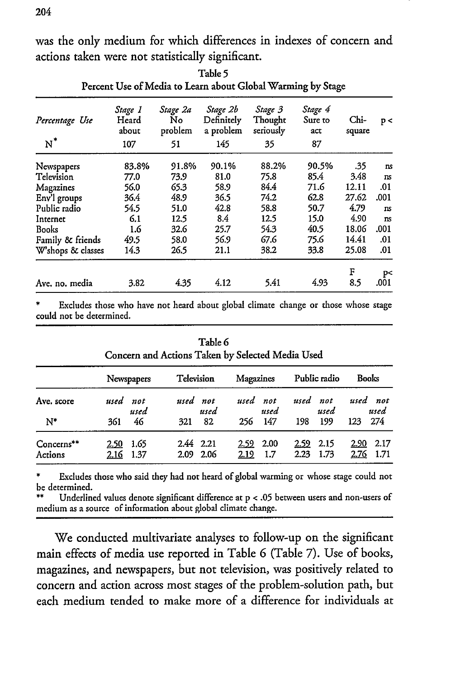was the only medium for which differences in indexes of concern and actions taken were not statistically significant.

| Percentage Use<br>$N^*$ | Stage 1<br>Heard<br>about<br>107 | Stage 2a<br>No<br>problem<br>51 | Stage 2b<br>Definitely<br>a problem<br>145 | Stage 3<br>Thought<br>seriously<br>35 | Stage 4<br>Sure to<br>act<br>87 | Chi-<br>square | p<             |
|-------------------------|----------------------------------|---------------------------------|--------------------------------------------|---------------------------------------|---------------------------------|----------------|----------------|
| Newspapers              | 83.8%                            | 91.8%                           | 90.1%                                      | 88.2%                                 | 90.5%                           | .35            | ns             |
| Television              | 77.0                             | 73.9                            | 81.0                                       | 75.8                                  | 85.4                            | 3.48           | ns             |
| Magazines               | 56.0                             | 65.3                            | 58.9                                       | 84.4                                  | 71.6                            | 12.11          | .01            |
| Env'l groups            | 36.4                             | 48.9                            | 36.5                                       | 74.2                                  | 62.8                            | 27.62          | .001           |
| Public radio            | 54.5                             | 51.0                            | 42.8                                       | 58.8                                  | 50.7                            | 4.79           | <b>ns</b>      |
| Internet                | 6.1                              | 12.5                            | 8.4                                        | 12.5                                  | 15.0                            | 4.90           | $\mathbf{n}$ s |
| Books                   | 1.6                              | 32.6                            | 25.7                                       | 54.3                                  | 40.5                            | 18.06          | .001           |
| Family & friends        | 49.5                             | 58.0                            | 56.9                                       | 67.6                                  | 75.6                            | 14.41          | .01            |
| W'shops & classes       | 14.3                             | 26.5                            | 21.1                                       | 38.2                                  | 33.8                            | 25.08          | .01            |
|                         |                                  |                                 |                                            |                                       |                                 | F              | p<             |
| Ave. no. media          | 3.82                             | 4.35                            | 4.12                                       | 5.41                                  | 4.93                            | 8.5            | .001           |

Table **5** Percent Use of Media to Learn about Global Warming by Stage

Excludes those who have not heard about global climate change or those whose stage could not be determined.

|                       |                   | Concern and Actions Taken by Selected Media Used |                   | Table 6 |                     |             |                     |              |                     |                  |
|-----------------------|-------------------|--------------------------------------------------|-------------------|---------|---------------------|-------------|---------------------|--------------|---------------------|------------------|
|                       |                   | Newspapers                                       | Television        |         | Magazines           |             |                     | Public radio | Books               |                  |
| Ave. score            | used not          | used                                             | used not          | used    | used not            | used        | used not            | used         |                     | used not<br>used |
| $N^*$                 | 361               | 46                                               | 321               | 82      | 256                 | 147         | 198                 | 199          | 123                 | 274              |
| Concerns**<br>Actions | 2.50<br>2.16 1.37 | 1.65                                             | 2.44 2.21<br>2.09 | 2.06    | <u>2.59</u><br>2.19 | 2.00<br>1.7 | <u>2.59</u><br>2.23 | 2.15<br>1.73 | <u>2.90</u><br>2.76 | 2.17<br>1.71     |

Excludes those who said they had not heard of global warming or whose stage could not be determined.

\*\* Underlined values denote significant difference at p < **.05** between users and non-users of medium as a source of information about global climate change.

We conducted multivariate analyses to follow-up on the significant main effects of media use reported in Table **6** (Table 7). Use of books, magazines, and newspapers, but not television, was positively related to concern and action across most stages of the problem-solution path, but each medium tended to make more of a difference for individuals at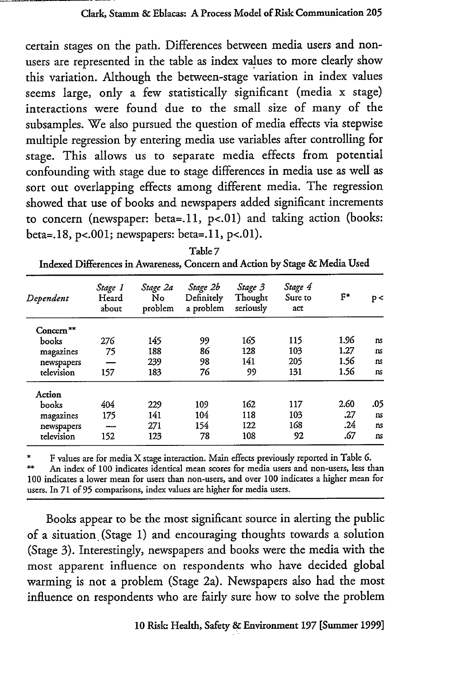certain stages on the path. Differences between media users and nonusers are represented in the table as index values to more clearly show this variation. Although the between-stage variation in index values seems large, only a few statistically significant (media x stage) interactions were found due to the small size of many of the subsamples. We also pursued the question of media effects via stepwise multiple regression by entering media use variables after controlling for stage. This allows us to separate media effects from potential confounding with stage due to stage differences in media use as well as sort out overlapping effects among different media. The regression showed that use of books and newspapers added significant increments to concern (newspaper: beta=.11, **p<.01)** and taking action (books: beta=.18, **p<.001;** newspapers: beta=.11, **p<.01).**

| Dependent             | Stage 1<br>Heard<br>about | Stage 2a<br>No<br>problem | Stage 2b<br>Definitely<br>a problem | Stage 3<br>Thought<br>seriously | Stage 4<br>Sure to<br>act | F*   | p <       |
|-----------------------|---------------------------|---------------------------|-------------------------------------|---------------------------------|---------------------------|------|-----------|
| Concern <sup>**</sup> |                           |                           |                                     |                                 |                           |      |           |
| books                 | 276                       | 145                       | 99                                  | 165                             | 115                       | 1.96 | ns        |
| magazines             | 75                        | 188                       | 86                                  | 128                             | 103                       | 1.27 | ns        |
| newspapers            |                           | 239                       | 98                                  | 141                             | 205                       | 1.56 | ns.       |
| television            | 157                       | 183                       | 76                                  | 99                              | 131                       | 1.56 | ns        |
| Action                |                           |                           |                                     |                                 |                           |      |           |
| books                 | 404                       | 229                       | 109                                 | 162                             | 117                       | 2.60 | .05       |
| magazines             | 175                       | 141                       | 104                                 | 118                             | 103                       | .27  | <b>ns</b> |
| newspapers            |                           | 271                       | 154                                 | 122                             | 168                       | .24  | ns        |
| television            | 152                       | 123                       | 78                                  | 108                             | 92                        | .67  | ns        |
|                       |                           |                           |                                     |                                 |                           |      |           |

| Table 7                                                                    |
|----------------------------------------------------------------------------|
| Indexed Differences in Awareness, Concern and Action by Stage & Media Used |

\* F values are for media X stage interaction. Main effects previously reported in Table **6.** An index of **100** indicates identical mean scores for media users and non-users, less than **100** indicates a lower mean for users than non-users, and over **100** indicates a higher mean for users. In 71 of **95** comparisons, index values are higher for media users.

Books appear to be the most significant source in alerting the public of a situation (Stage 1) and encouraging thoughts towards a solution (Stage 3). Interestingly, newspapers and books were the media with the most apparent influence on respondents who have decided global warming is not a problem (Stage 2a). Newspapers also had the most influence on respondents who are fairly sure how to solve the problem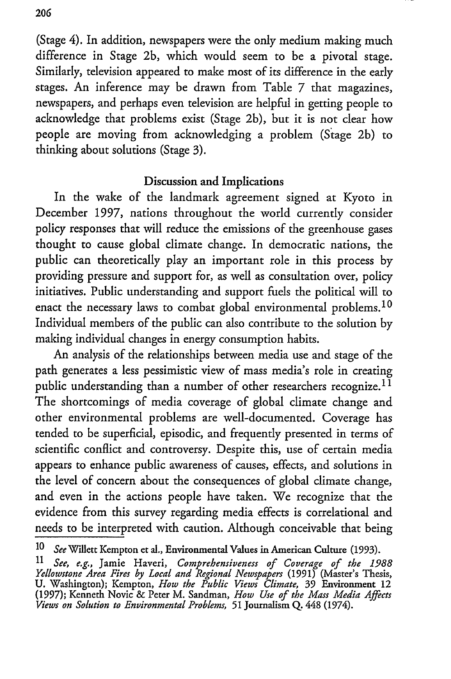(Stage 4). In addition, newspapers were the only medium making much difference in Stage 2b, which would seem to be a pivotal stage. Similarly, television appeared to make most of its difference in the early stages. An inference may be drawn from Table 7 that magazines, newspapers, and perhaps even television are helpful in getting people to acknowledge that problems exist (Stage 2b), but it is not clear how people are moving from acknowledging a problem (Stage 2b) to thinking about solutions (Stage 3).

### Discussion and Implications

In the wake of the landmark agreement signed at Kyoto in December 1997, nations throughout the world currently consider policy responses that will reduce the emissions of the greenhouse gases thought to cause global climate change. In democratic nations, the public can theoretically play an important role in this process by providing pressure and support for, as well as consultation over, policy initiatives. Public understanding and support fuels the political will to enact the necessary laws to combat global environmental problems.<sup>10</sup> Individual members of the public can also contribute to the solution by making individual changes in energy consumption habits.

An analysis of the relationships between media use and stage of the path generates a less pessimistic view of mass media's role in creating public understanding than a number of other researchers recognize.<sup>11</sup> The shortcomings of media coverage of global climate change and other environmental problems are well-documented. Coverage has tended to be superficial, episodic, and frequently presented in terms of scientific conflict and controversy. Despite this, use of certain media appears to enhance public awareness of causes, effects, and solutions in the level of concern about the consequences of global climate change, and even in the actions people have taken. We recognize that the evidence from this survey regarding media effects is correlational and needs to be interpreted with caution. Although conceivable that being

<sup>10</sup> *See* Willett Kempton et al., Environmental Values in American Culture (1993).

*<sup>11</sup>See, e.g.,* Jamie Haveri, *Comprehensiveness of Coverage of the 1988 Yellowstone Area Fires by Local and Regional Newspapers* (1991) (Master's Thesis, **U.** Washington); Kempton, *How the Public Views Climate,* 39 Environment 12 (1997); Kenneth Novic & Peter M. Sandman, *How Use of the Mass Media Affects Views on Solution to Environmental Problems,* **51** Journalism **Q.** 448 (1974).